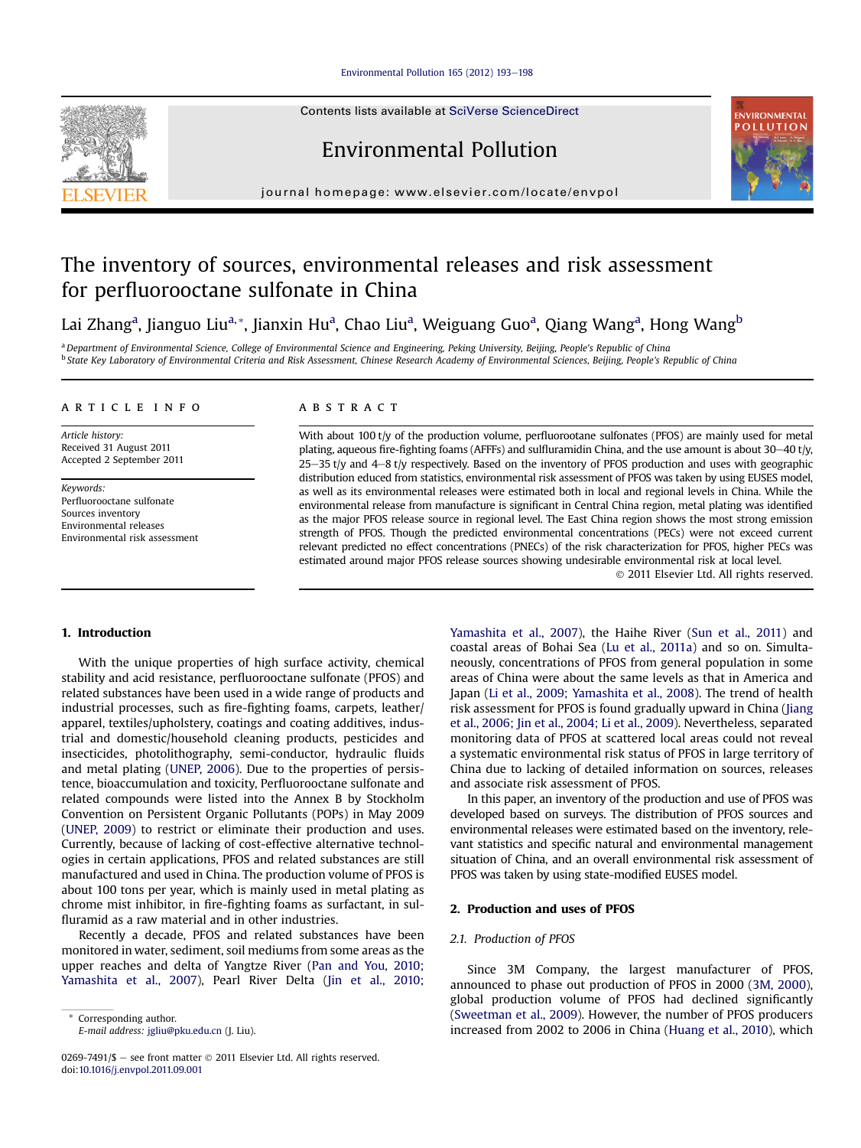#### [Environmental Pollution 165 \(2012\) 193](http://dx.doi.org/10.1016/j.envpol.2011.09.001)-[198](http://dx.doi.org/10.1016/j.envpol.2011.09.001)

Contents lists available at SciVerse ScienceDirect

# Environmental Pollution



journal homepage: [www.elsevier.com/locate/envpol](http://www.elsevier.com/locate/envpol)

# The inventory of sources, environmental releases and risk assessment for perfluorooctane sulfonate in China

# Lai Zhang<sup>a</sup>, Jianguo Liu<sup>a,</sup>\*, Jianxin Hu<sup>a</sup>, Chao Liu<sup>a</sup>, Weiguang Guo<sup>a</sup>, Qiang Wang<sup>a</sup>, Hong Wang<sup>b</sup>

a Department of Environmental Science, College of Environmental Science and Engineering, Peking University, Beijing, People's Republic of China <sup>b</sup> State Key Laboratory of Environmental Criteria and Risk Assessment, Chinese Research Academy of Environmental Sciences, Beijing, People's Republic of China

#### article info

Article history: Received 31 August 2011 Accepted 2 September 2011

Keywords: Perfluorooctane sulfonate Sources inventory Environmental releases Environmental risk assessment

#### **ABSTRACT**

With about 100 t/y of the production volume, perfluorootane sulfonates (PFOS) are mainly used for metal plating, aqueous fire-fighting foams (AFFFs) and sulfluramidin China, and the use amount is about 30–40 t/y,  $25-35$  t/y and  $4-8$  t/y respectively. Based on the inventory of PFOS production and uses with geographic distribution educed from statistics, environmental risk assessment of PFOS was taken by using EUSES model, as well as its environmental releases were estimated both in local and regional levels in China. While the environmental release from manufacture is significant in Central China region, metal plating was identified as the major PFOS release source in regional level. The East China region shows the most strong emission strength of PFOS. Though the predicted environmental concentrations (PECs) were not exceed current relevant predicted no effect concentrations (PNECs) of the risk characterization for PFOS, higher PECs was estimated around major PFOS release sources showing undesirable environmental risk at local level.

2011 Elsevier Ltd. All rights reserved.

#### 1. Introduction

With the unique properties of high surface activity, chemical stability and acid resistance, perfluorooctane sulfonate (PFOS) and related substances have been used in a wide range of products and industrial processes, such as fire-fighting foams, carpets, leather/ apparel, textiles/upholstery, coatings and coating additives, industrial and domestic/household cleaning products, pesticides and insecticides, photolithography, semi-conductor, hydraulic fluids and metal plating [\(UNEP, 2006](#page-5-0)). Due to the properties of persistence, bioaccumulation and toxicity, Perfluorooctane sulfonate and related compounds were listed into the Annex B by Stockholm Convention on Persistent Organic Pollutants (POPs) in May 2009 ([UNEP, 2009\)](#page-5-0) to restrict or eliminate their production and uses. Currently, because of lacking of cost-effective alternative technologies in certain applications, PFOS and related substances are still manufactured and used in China. The production volume of PFOS is about 100 tons per year, which is mainly used in metal plating as chrome mist inhibitor, in fire-fighting foams as surfactant, in sulfluramid as a raw material and in other industries.

Recently a decade, PFOS and related substances have been monitored in water, sediment, soil mediums from some areas as the upper reaches and delta of Yangtze River ([Pan and You, 2010;](#page-5-0) [Yamashita et al., 2007](#page-5-0)), Pearl River Delta ([Jin et al., 2010;](#page-5-0)

Corresponding author. E-mail address: [jgliu@pku.edu.cn](mailto:jgliu@pku.edu.cn) (J. Liu).

0269-7491/\$ - see front matter  $\odot$  2011 Elsevier Ltd. All rights reserved. doi[:10.1016/j.envpol.2011.09.001](http://dx.doi.org/10.1016/j.envpol.2011.09.001)

[Yamashita et al., 2007\)](#page-5-0), the Haihe River ([Sun et al., 2011](#page-5-0)) and coastal areas of Bohai Sea [\(Lu et al., 2011a](#page-5-0)) and so on. Simultaneously, concentrations of PFOS from general population in some areas of China were about the same levels as that in America and Japan [\(Li et al., 2009; Yamashita et al., 2008](#page-5-0)). The trend of health risk assessment for PFOS is found gradually upward in China ([Jiang](#page-5-0) [et al., 2006; Jin et al., 2004; Li et al., 2009](#page-5-0)). Nevertheless, separated monitoring data of PFOS at scattered local areas could not reveal a systematic environmental risk status of PFOS in large territory of China due to lacking of detailed information on sources, releases and associate risk assessment of PFOS.

In this paper, an inventory of the production and use of PFOS was developed based on surveys. The distribution of PFOS sources and environmental releases were estimated based on the inventory, relevant statistics and specific natural and environmental management situation of China, and an overall environmental risk assessment of PFOS was taken by using state-modified EUSES model.

#### 2. Production and uses of PFOS

#### 2.1. Production of PFOS

Since 3M Company, the largest manufacturer of PFOS, announced to phase out production of PFOS in 2000 ([3M, 2000\)](#page-5-0), global production volume of PFOS had declined significantly ([Sweetman et al., 2009](#page-5-0)). However, the number of PFOS producers increased from 2002 to 2006 in China ([Huang et al., 2010\)](#page-5-0), which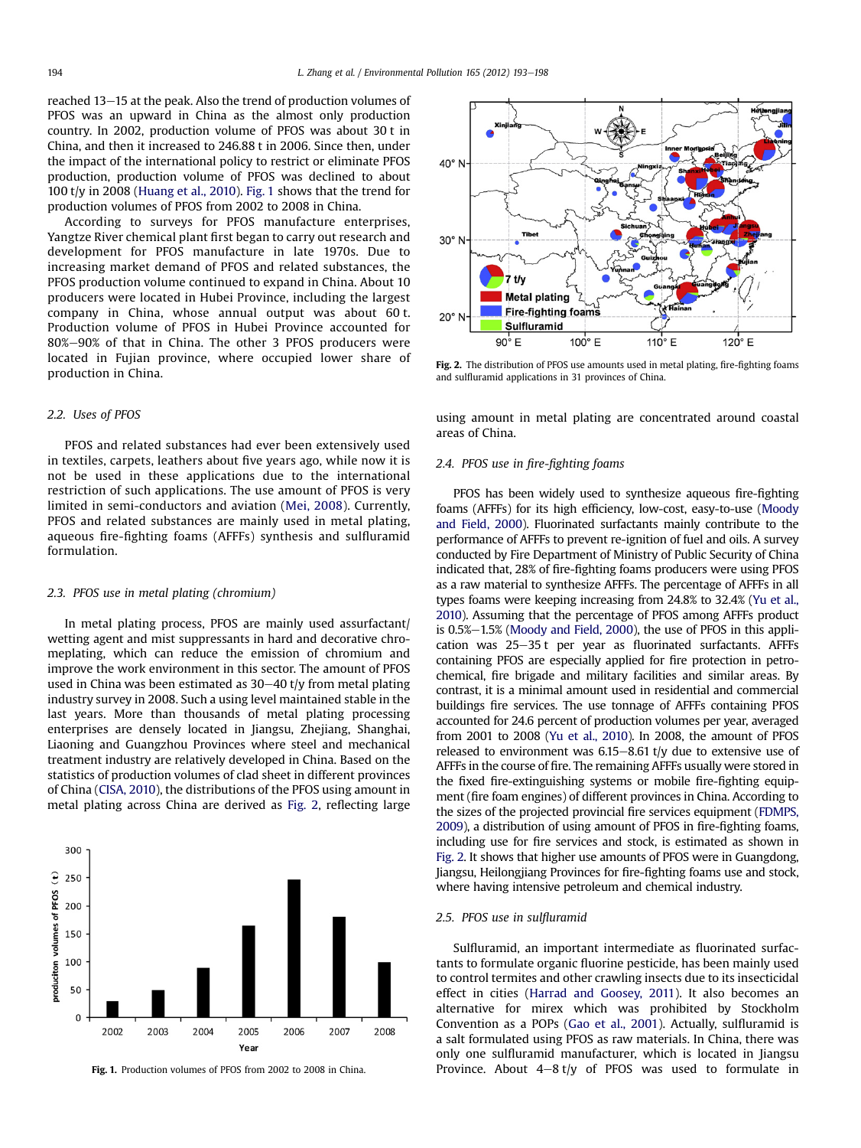<span id="page-1-0"></span>reached 13–15 at the peak. Also the trend of production volumes of PFOS was an upward in China as the almost only production country. In 2002, production volume of PFOS was about 30 t in China, and then it increased to 246.88 t in 2006. Since then, under the impact of the international policy to restrict or eliminate PFOS production, production volume of PFOS was declined to about 100 t/y in 2008 ([Huang et al., 2010](#page-5-0)). Fig. 1 shows that the trend for production volumes of PFOS from 2002 to 2008 in China.

According to surveys for PFOS manufacture enterprises, Yangtze River chemical plant first began to carry out research and development for PFOS manufacture in late 1970s. Due to increasing market demand of PFOS and related substances, the PFOS production volume continued to expand in China. About 10 producers were located in Hubei Province, including the largest company in China, whose annual output was about 60 t. Production volume of PFOS in Hubei Province accounted for 80%-90% of that in China. The other 3 PFOS producers were located in Fujian province, where occupied lower share of production in China.

#### 2.2. Uses of PFOS

PFOS and related substances had ever been extensively used in textiles, carpets, leathers about five years ago, while now it is not be used in these applications due to the international restriction of such applications. The use amount of PFOS is very limited in semi-conductors and aviation ([Mei, 2008](#page-5-0)). Currently, PFOS and related substances are mainly used in metal plating, aqueous fire-fighting foams (AFFFs) synthesis and sulfluramid formulation.

## 2.3. PFOS use in metal plating (chromium)

In metal plating process, PFOS are mainly used assurfactant/ wetting agent and mist suppressants in hard and decorative chromeplating, which can reduce the emission of chromium and improve the work environment in this sector. The amount of PFOS used in China was been estimated as  $30-40$  t/y from metal plating industry survey in 2008. Such a using level maintained stable in the last years. More than thousands of metal plating processing enterprises are densely located in Jiangsu, Zhejiang, Shanghai, Liaoning and Guangzhou Provinces where steel and mechanical treatment industry are relatively developed in China. Based on the statistics of production volumes of clad sheet in different provinces of China [\(CISA, 2010\)](#page-5-0), the distributions of the PFOS using amount in metal plating across China are derived as Fig. 2, reflecting large





Fig. 2. The distribution of PFOS use amounts used in metal plating, fire-fighting foams and sulfluramid applications in 31 provinces of China.

using amount in metal plating are concentrated around coastal areas of China.

## 2.4. PFOS use in fire-fighting foams

PFOS has been widely used to synthesize aqueous fire-fighting foams (AFFFs) for its high efficiency, low-cost, easy-to-use [\(Moody](#page-5-0) [and Field, 2000](#page-5-0)). Fluorinated surfactants mainly contribute to the performance of AFFFs to prevent re-ignition of fuel and oils. A survey conducted by Fire Department of Ministry of Public Security of China indicated that, 28% of fire-fighting foams producers were using PFOS as a raw material to synthesize AFFFs. The percentage of AFFFs in all types foams were keeping increasing from 24.8% to 32.4% [\(Yu et al.,](#page-5-0) [2010](#page-5-0)). Assuming that the percentage of PFOS among AFFFs product is  $0.5\% - 1.5\%$  (Moody [and Field, 2000](#page-5-0)), the use of PFOS in this application was  $25-35$  t per year as fluorinated surfactants. AFFFs containing PFOS are especially applied for fire protection in petrochemical, fire brigade and military facilities and similar areas. By contrast, it is a minimal amount used in residential and commercial buildings fire services. The use tonnage of AFFFs containing PFOS accounted for 24.6 percent of production volumes per year, averaged from 2001 to 2008 [\(Yu et al., 2010](#page-5-0)). In 2008, the amount of PFOS released to environment was  $6.15-8.61$  t/y due to extensive use of AFFFs in the course of fire. The remaining AFFFs usually were stored in the fixed fire-extinguishing systems or mobile fire-fighting equipment (fire foam engines) of different provinces in China. According to the sizes of the projected provincial fire services equipment [\(FDMPS,](#page-5-0) [2009](#page-5-0)), a distribution of using amount of PFOS in fire-fighting foams, including use for fire services and stock, is estimated as shown in Fig. 2. It shows that higher use amounts of PFOS were in Guangdong, Jiangsu, Heilongjiang Provinces for fire-fighting foams use and stock, where having intensive petroleum and chemical industry.

#### 2.5. PFOS use in sulfluramid

Sulfluramid, an important intermediate as fluorinated surfactants to formulate organic fluorine pesticide, has been mainly used to control termites and other crawling insects due to its insecticidal effect in cities [\(Harrad and Goosey, 2011](#page-5-0)). It also becomes an alternative for mirex which was prohibited by Stockholm Convention as a POPs [\(Gao et al., 2001\)](#page-5-0). Actually, sulfluramid is a salt formulated using PFOS as raw materials. In China, there was only one sulfluramid manufacturer, which is located in Jiangsu Fig. 1. Production volumes of PFOS from 2002 to 2008 in China. Province. About  $4-8$  t/y of PFOS was used to formulate in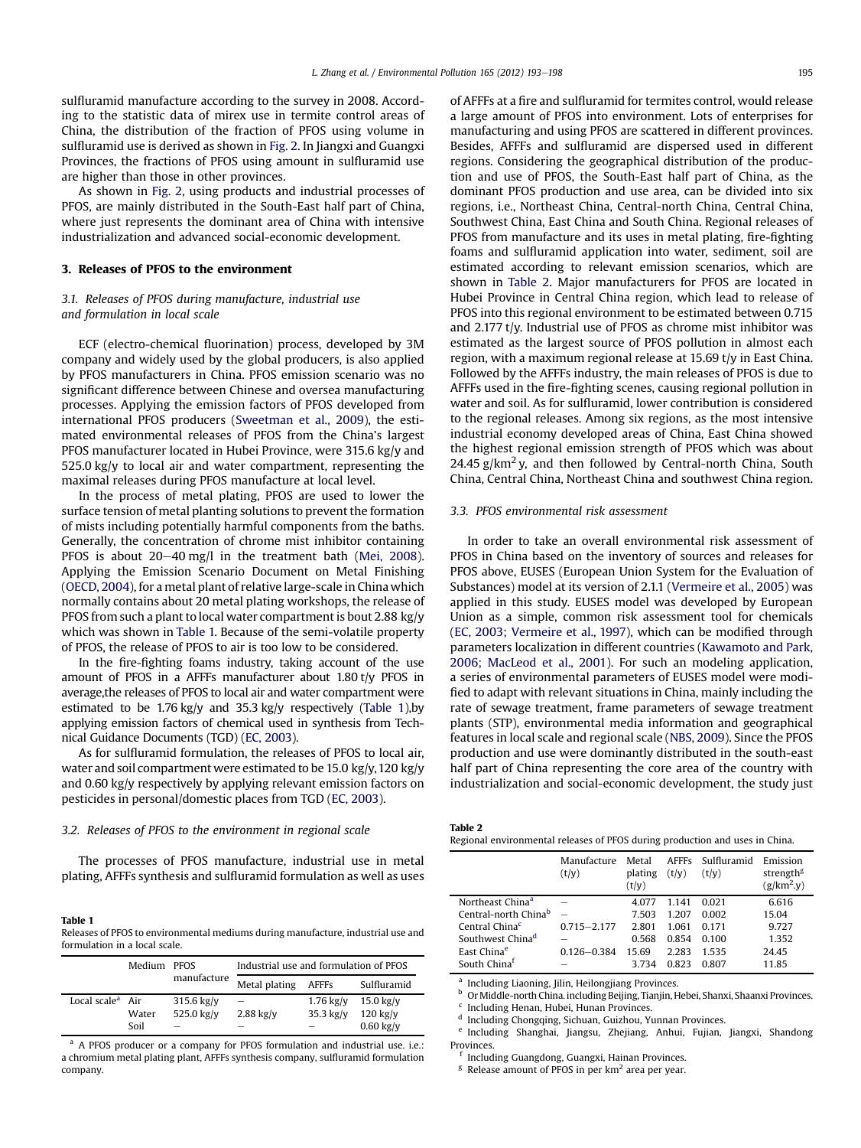<span id="page-2-0"></span>sulfluramid manufacture according to the survey in 2008. According to the statistic data of mirex use in termite control areas of China, the distribution of the fraction of PFOS using volume in sulfluramid use is derived as shown in [Fig. 2.](#page-1-0) In Jiangxi and Guangxi Provinces, the fractions of PFOS using amount in sulfluramid use are higher than those in other provinces.

As shown in [Fig. 2,](#page-1-0) using products and industrial processes of PFOS, are mainly distributed in the South-East half part of China, where just represents the dominant area of China with intensive industrialization and advanced social-economic development.

#### 3. Releases of PFOS to the environment

## 3.1. Releases of PFOS during manufacture, industrial use and formulation in local scale

ECF (electro-chemical fluorination) process, developed by 3M company and widely used by the global producers, is also applied by PFOS manufacturers in China. PFOS emission scenario was no significant difference between Chinese and oversea manufacturing processes. Applying the emission factors of PFOS developed from international PFOS producers [\(Sweetman et al., 2009\)](#page-5-0), the estimated environmental releases of PFOS from the China's largest PFOS manufacturer located in Hubei Province, were 315.6 kg/y and 525.0 kg/y to local air and water compartment, representing the maximal releases during PFOS manufacture at local level.

In the process of metal plating, PFOS are used to lower the surface tension of metal planting solutions to prevent the formation of mists including potentially harmful components from the baths. Generally, the concentration of chrome mist inhibitor containing PFOS is about  $20-40$  mg/l in the treatment bath [\(Mei, 2008\)](#page-5-0). Applying the Emission Scenario Document on Metal Finishing ([OECD, 2004\)](#page-5-0), for a metal plant of relative large-scale in China which normally contains about 20 metal plating workshops, the release of PFOS from such a plant to local water compartment is bout 2.88 kg/y which was shown in Table 1. Because of the semi-volatile property of PFOS, the release of PFOS to air is too low to be considered.

In the fire-fighting foams industry, taking account of the use amount of PFOS in a AFFFs manufacturer about 1.80 t/y PFOS in average,the releases of PFOS to local air and water compartment were estimated to be 1.76 kg/y and 35.3 kg/y respectively (Table 1),by applying emission factors of chemical used in synthesis from Technical Guidance Documents (TGD) ([EC, 2003\)](#page-5-0).

As for sulfluramid formulation, the releases of PFOS to local air, water and soil compartment were estimated to be 15.0 kg/y, 120 kg/y and 0.60 kg/y respectively by applying relevant emission factors on pesticides in personal/domestic places from TGD [\(EC, 2003](#page-5-0)).

#### 3.2. Releases of PFOS to the environment in regional scale

The processes of PFOS manufacture, industrial use in metal plating, AFFFs synthesis and sulfluramid formulation as well as uses

#### Table 1

Releases of PFOS to environmental mediums during manufacture, industrial use and formulation in a local scale.

|                              | Medium PFOS |              | Industrial use and formulation of PFOS |             |                     |
|------------------------------|-------------|--------------|----------------------------------------|-------------|---------------------|
|                              |             | manufacture  | Metal plating                          | AFFFs       | Sulfluramid         |
| Local scale <sup>a</sup> Air |             | $315.6$ kg/y | $\overline{\phantom{0}}$               | $1.76$ kg/y | $15.0 \text{ kg}/v$ |
|                              | Water       | 525.0 kg/y   | $2.88$ kg/y                            | $35.3$ kg/y | $120$ kg/v          |
|                              | Soil        | -            |                                        |             | $0.60$ kg/y         |

<sup>a</sup> A PFOS producer or a company for PFOS formulation and industrial use, i.e.: a chromium metal plating plant, AFFFs synthesis company, sulfluramid formulation company.

of AFFFs at a fire and sulfluramid for termites control, would release a large amount of PFOS into environment. Lots of enterprises for manufacturing and using PFOS are scattered in different provinces. Besides, AFFFs and sulfluramid are dispersed used in different regions. Considering the geographical distribution of the production and use of PFOS, the South-East half part of China, as the dominant PFOS production and use area, can be divided into six regions, i.e., Northeast China, Central-north China, Central China, Southwest China, East China and South China. Regional releases of PFOS from manufacture and its uses in metal plating, fire-fighting foams and sulfluramid application into water, sediment, soil are estimated according to relevant emission scenarios, which are shown in Table 2. Major manufacturers for PFOS are located in Hubei Province in Central China region, which lead to release of PFOS into this regional environment to be estimated between 0.715 and 2.177 t/y. Industrial use of PFOS as chrome mist inhibitor was estimated as the largest source of PFOS pollution in almost each region, with a maximum regional release at 15.69 t/y in East China. Followed by the AFFFs industry, the main releases of PFOS is due to AFFFs used in the fire-fighting scenes, causing regional pollution in water and soil. As for sulfluramid, lower contribution is considered to the regional releases. Among six regions, as the most intensive industrial economy developed areas of China, East China showed the highest regional emission strength of PFOS which was about 24.45  $g/km<sup>2</sup>$  y, and then followed by Central-north China, South China, Central China, Northeast China and southwest China region.

#### 3.3. PFOS environmental risk assessment

In order to take an overall environmental risk assessment of PFOS in China based on the inventory of sources and releases for PFOS above, EUSES (European Union System for the Evaluation of Substances) model at its version of 2.1.1 ([Vermeire et al., 2005\)](#page-5-0) was applied in this study. EUSES model was developed by European Union as a simple, common risk assessment tool for chemicals ([EC, 2003; Vermeire et al., 1997](#page-5-0)), which can be modified through parameters localization in different countries ([Kawamoto and Park,](#page-5-0) [2006; MacLeod et al., 2001\)](#page-5-0). For such an modeling application, a series of environmental parameters of EUSES model were modified to adapt with relevant situations in China, mainly including the rate of sewage treatment, frame parameters of sewage treatment plants (STP), environmental media information and geographical features in local scale and regional scale [\(NBS, 2009](#page-5-0)). Since the PFOS production and use were dominantly distributed in the south-east half part of China representing the core area of the country with industrialization and social-economic development, the study just

| Table 2                                                                      |
|------------------------------------------------------------------------------|
| Regional environmental releases of PFOS during production and uses in China. |

|                                  | Manufacture<br>(t/y) | Metal<br>plating<br>(t/y) | (t/v) | AFFFs Sulfluramid<br>(t/v) | Emission<br>strength <sup>g</sup><br>$(g/km^2.y)$ |
|----------------------------------|----------------------|---------------------------|-------|----------------------------|---------------------------------------------------|
| Northeast China <sup>a</sup>     |                      | 4.077                     | 1.141 | 0.021                      | 6.616                                             |
| Central-north China <sup>b</sup> |                      | 7.503                     | 1 207 | 0.002                      | 15.04                                             |
| Central China <sup>c</sup>       | $0.715 - 2.177$      | 2.801                     | 1.061 | 0.171                      | 9.727                                             |
| Southwest China <sup>d</sup>     |                      | 0.568                     | 0.854 | 0.100                      | 1.352                                             |
| East China <sup>e</sup>          | $0.126 - 0.384$      | 15.69                     | 2.283 | 1535                       | 24.45                                             |
| South Chinaf                     |                      | 3734                      | 0.823 | 0.807                      | 11.85                                             |

<sup>a</sup> Including Liaoning, Jilin, Heilongjiang Provinces.

<sup>b</sup> OrMiddle-north China. including Beijing, Tianjin, Hebei, Shanxi, Shaanxi Provinces.

 $c$  Including Henan, Hubei, Hunan Provinces.

<sup>d</sup> Including Chongqing, Sichuan, Guizhou, Yunnan Provinces.

<sup>e</sup> Including Shanghai, Jiangsu, Zhejiang, Anhui, Fujian, Jiangxi, Shandong Provinces.

<sup>f</sup> Including Guangdong, Guangxi, Hainan Provinces.

 $g$  Release amount of PFOS in per  $km<sup>2</sup>$  area per year.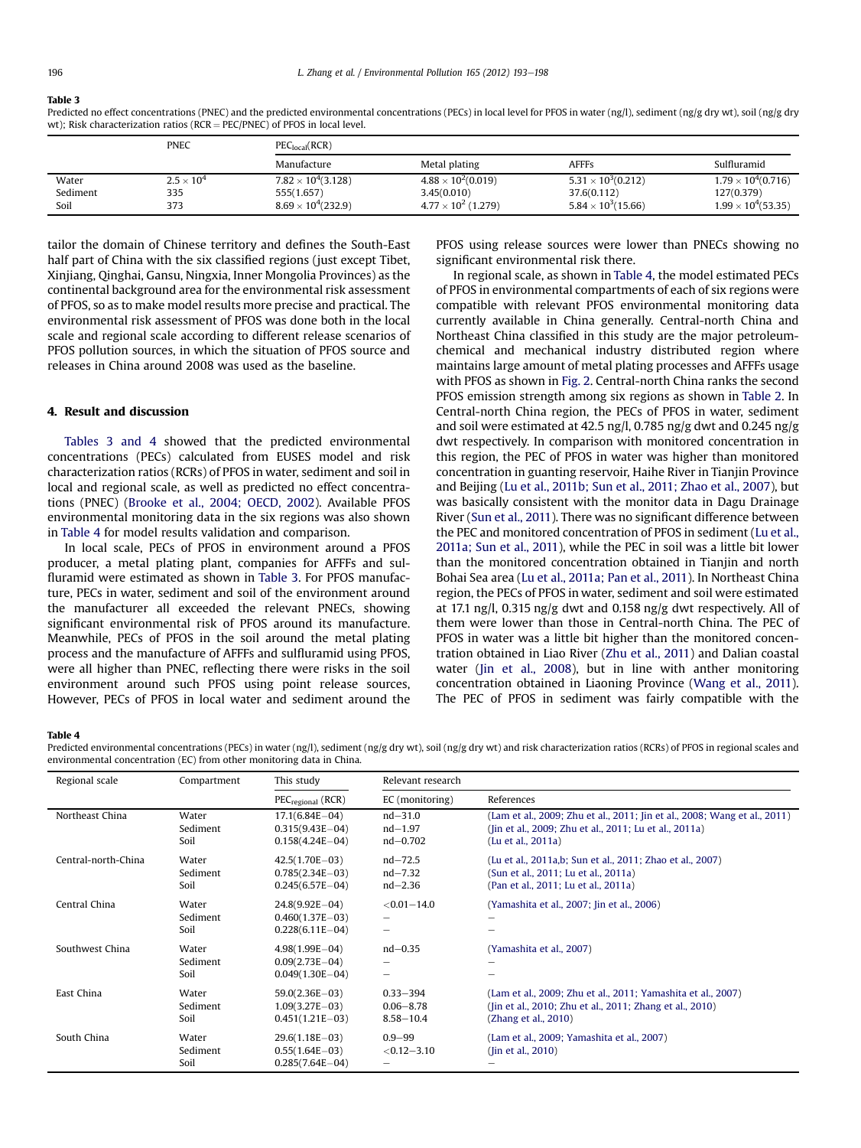#### Table 3

Predicted no effect concentrations (PNEC) and the predicted environmental concentrations (PECs) in local level for PFOS in water (ng/l), sediment (ng/g dry wt), soil (ng/g dry wt); Risk characterization ratios ( $RCR = PEC/PNEC$ ) of PFOS in local level.

|          | <b>PNEC</b>       | PEC <sub>local</sub> (RCR)  |                             |                           |                            |  |
|----------|-------------------|-----------------------------|-----------------------------|---------------------------|----------------------------|--|
|          |                   | Manufacture                 | Metal plating               | <b>AFFFs</b>              | Sulfluramid                |  |
| Water    | $2.5 \times 10^4$ | $7.82 \times 10^4(3.128)$   | $4.88 \times 10^{2}(0.019)$ | $5.31 \times 10^3(0.212)$ | $1.79 \times 10^4 (0.716)$ |  |
| Sediment | 335               | 555(1.657)                  | 3.45(0.010)                 | 37.6(0.112)               | 127(0.379)                 |  |
| Soil     | 373               | $8.69 \times 10^{4}(232.9)$ | $4.77 \times 10^2$ (1.279)  | $5.84 \times 10^3(15.66)$ | $1.99 \times 10^4 (53.35)$ |  |

tailor the domain of Chinese territory and defines the South-East half part of China with the six classified regions (just except Tibet, Xinjiang, Qinghai, Gansu, Ningxia, Inner Mongolia Provinces) as the continental background area for the environmental risk assessment of PFOS, so as to make model results more precise and practical. The environmental risk assessment of PFOS was done both in the local scale and regional scale according to different release scenarios of PFOS pollution sources, in which the situation of PFOS source and releases in China around 2008 was used as the baseline.

#### 4. Result and discussion

Tables 3 and 4 showed that the predicted environmental concentrations (PECs) calculated from EUSES model and risk characterization ratios (RCRs) of PFOS in water, sediment and soil in local and regional scale, as well as predicted no effect concentrations (PNEC) ([Brooke et al., 2004; OECD, 2002\)](#page-5-0). Available PFOS environmental monitoring data in the six regions was also shown in Table 4 for model results validation and comparison.

In local scale, PECs of PFOS in environment around a PFOS producer, a metal plating plant, companies for AFFFs and sulfluramid were estimated as shown in Table 3. For PFOS manufacture, PECs in water, sediment and soil of the environment around the manufacturer all exceeded the relevant PNECs, showing significant environmental risk of PFOS around its manufacture. Meanwhile, PECs of PFOS in the soil around the metal plating process and the manufacture of AFFFs and sulfluramid using PFOS, were all higher than PNEC, reflecting there were risks in the soil environment around such PFOS using point release sources, However, PECs of PFOS in local water and sediment around the PFOS using release sources were lower than PNECs showing no significant environmental risk there.

In regional scale, as shown in Table 4, the model estimated PECs of PFOS in environmental compartments of each of six regions were compatible with relevant PFOS environmental monitoring data currently available in China generally. Central-north China and Northeast China classified in this study are the major petroleumchemical and mechanical industry distributed region where maintains large amount of metal plating processes and AFFFs usage with PFOS as shown in [Fig. 2](#page-1-0). Central-north China ranks the second PFOS emission strength among six regions as shown in [Table 2.](#page-2-0) In Central-north China region, the PECs of PFOS in water, sediment and soil were estimated at 42.5 ng/l, 0.785 ng/g dwt and 0.245 ng/g dwt respectively. In comparison with monitored concentration in this region, the PEC of PFOS in water was higher than monitored concentration in guanting reservoir, Haihe River in Tianjin Province and Beijing [\(Lu et al., 2011b; Sun et al., 2011; Zhao et al., 2007](#page-5-0)), but was basically consistent with the monitor data in Dagu Drainage River [\(Sun et al., 2011\)](#page-5-0). There was no significant difference between the PEC and monitored concentration of PFOS in sediment ([Lu et al.,](#page-5-0) [2011a; Sun et al., 2011](#page-5-0)), while the PEC in soil was a little bit lower than the monitored concentration obtained in Tianjin and north Bohai Sea area ([Lu et al., 2011a; Pan et al., 2011\)](#page-5-0). In Northeast China region, the PECs of PFOS in water, sediment and soil were estimated at 17.1 ng/l, 0.315 ng/g dwt and 0.158 ng/g dwt respectively. All of them were lower than those in Central-north China. The PEC of PFOS in water was a little bit higher than the monitored concentration obtained in Liao River [\(Zhu et al., 2011\)](#page-5-0) and Dalian coastal water [\(Jin et al., 2008\)](#page-5-0), but in line with anther monitoring concentration obtained in Liaoning Province ([Wang et al., 2011\)](#page-5-0). The PEC of PFOS in sediment was fairly compatible with the

#### Table 4

Predicted environmental concentrations (PECs) in water (ng/l), sediment (ng/g dry wt), soil (ng/g dry wt) and risk characterization ratios (RCRs) of PFOS in regional scales and environmental concentration (EC) from other monitoring data in China.

| Regional scale      | Compartment               | This study                                                      | Relevant research                              |                                                                                                                                                  |
|---------------------|---------------------------|-----------------------------------------------------------------|------------------------------------------------|--------------------------------------------------------------------------------------------------------------------------------------------------|
|                     |                           | $PEC_{\text{recional}}$ (RCR)                                   | EC (monitoring)                                | References                                                                                                                                       |
| Northeast China     | Water<br>Sediment         | $17.1(6.84E - 04)$<br>$0.315(9.43E - 04)$                       | $nd - 31.0$<br>$nd - 1.97$                     | (Lam et al., 2009; Zhu et al., 2011; Jin et al., 2008; Wang et al., 2011)<br>(Jin et al., 2009; Zhu et al., 2011; Lu et al., 2011a)              |
|                     | Soil                      | $0.158(4.24E - 04)$                                             | $nd - 0.702$                                   | (Lu et al., 2011a)                                                                                                                               |
| Central-north-China | Water<br>Sediment<br>Soil | $42.5(1.70E - 03)$<br>$0.785(2.34E-03)$<br>$0.245(6.57E-04)$    | $nd - 72.5$<br>$nd - 7.32$<br>$nd - 2.36$      | (Lu et al., 2011a,b; Sun et al., 2011; Zhao et al., 2007)<br>(Sun et al., 2011; Lu et al., 2011a)<br>(Pan et al., 2011; Lu et al., 2011a)        |
| Central China       | Water<br>Sediment<br>Soil | $24.8(9.92E - 04)$<br>$0.460(1.37E-03)$<br>$0.228(6.11E-04)$    | $< 0.01 - 14.0$<br>$\overline{\phantom{0}}$    | (Yamashita et al., 2007; Jin et al., 2006)                                                                                                       |
| Southwest China     | Water<br>Sediment<br>Soil | $4.98(1.99E - 04)$<br>$0.09(2.73E - 04)$<br>$0.049(1.30E - 04)$ | $nd - 0.35$<br>$\overline{\phantom{0}}$        | (Yamashita et al., 2007)                                                                                                                         |
| East China          | Water<br>Sediment<br>Soil | $59.0(2.36E - 03)$<br>$1.09(3.27E-03)$<br>$0.451(1.21E-03)$     | $0.33 - 394$<br>$0.06 - 8.78$<br>$8.58 - 10.4$ | (Lam et al., 2009; Zhu et al., 2011; Yamashita et al., 2007)<br>(Jin et al., 2010; Zhu et al., 2011; Zhang et al., 2010)<br>(Zhang et al., 2010) |
| South China         | Water<br>Sediment<br>Soil | $29.6(1.18E - 03)$<br>$0.55(1.64E-03)$<br>$0.285(7.64E-04)$     | $0.9 - 99$<br>$< 0.12 - 3.10$                  | (Lam et al., 2009; Yamashita et al., 2007)<br>(Jin et al., 2010)                                                                                 |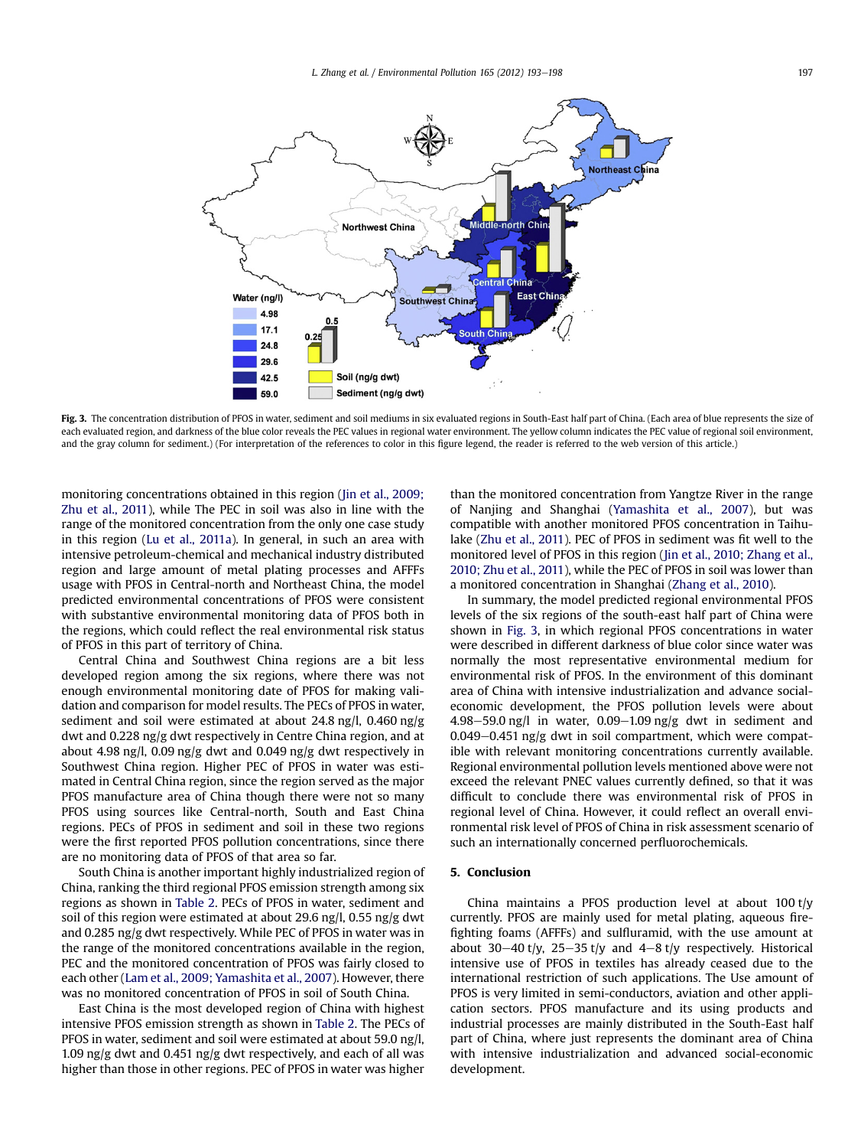

Fig. 3. The concentration distribution of PFOS in water, sediment and soil mediums in six evaluated regions in South-East half part of China. (Each area of blue represents the size of each evaluated region, and darkness of the blue color reveals the PEC values in regional water environment. The yellow column indicates the PEC value of regional soil environment, and the gray column for sediment.) (For interpretation of the references to color in this figure legend, the reader is referred to the web version of this article.)

monitoring concentrations obtained in this region ([Jin et al., 2009;](#page-5-0) [Zhu et al., 2011](#page-5-0)), while The PEC in soil was also in line with the range of the monitored concentration from the only one case study in this region [\(Lu et al., 2011a](#page-5-0)). In general, in such an area with intensive petroleum-chemical and mechanical industry distributed region and large amount of metal plating processes and AFFFs usage with PFOS in Central-north and Northeast China, the model predicted environmental concentrations of PFOS were consistent with substantive environmental monitoring data of PFOS both in the regions, which could reflect the real environmental risk status of PFOS in this part of territory of China.

Central China and Southwest China regions are a bit less developed region among the six regions, where there was not enough environmental monitoring date of PFOS for making validation and comparison for model results. The PECs of PFOS in water, sediment and soil were estimated at about 24.8 ng/l, 0.460 ng/g dwt and 0.228 ng/g dwt respectively in Centre China region, and at about 4.98 ng/l, 0.09 ng/g dwt and 0.049 ng/g dwt respectively in Southwest China region. Higher PEC of PFOS in water was estimated in Central China region, since the region served as the major PFOS manufacture area of China though there were not so many PFOS using sources like Central-north, South and East China regions. PECs of PFOS in sediment and soil in these two regions were the first reported PFOS pollution concentrations, since there are no monitoring data of PFOS of that area so far.

South China is another important highly industrialized region of China, ranking the third regional PFOS emission strength among six regions as shown in [Table 2.](#page-2-0) PECs of PFOS in water, sediment and soil of this region were estimated at about 29.6 ng/l, 0.55 ng/g dwt and 0.285 ng/g dwt respectively. While PEC of PFOS in water was in the range of the monitored concentrations available in the region, PEC and the monitored concentration of PFOS was fairly closed to each other ([Lam et al., 2009; Yamashita et al., 2007\)](#page-5-0). However, there was no monitored concentration of PFOS in soil of South China.

East China is the most developed region of China with highest intensive PFOS emission strength as shown in [Table 2](#page-2-0). The PECs of PFOS in water, sediment and soil were estimated at about 59.0 ng/l, 1.09 ng/g dwt and 0.451 ng/g dwt respectively, and each of all was higher than those in other regions. PEC of PFOS in water was higher

than the monitored concentration from Yangtze River in the range of Nanjing and Shanghai [\(Yamashita et al., 2007](#page-5-0)), but was compatible with another monitored PFOS concentration in Taihulake ([Zhu et al., 2011](#page-5-0)). PEC of PFOS in sediment was fit well to the monitored level of PFOS in this region ([Jin et al., 2010; Zhang et al.,](#page-5-0) [2010; Zhu et al., 2011](#page-5-0)), while the PEC of PFOS in soil was lower than a monitored concentration in Shanghai [\(Zhang et al., 2010](#page-5-0)).

In summary, the model predicted regional environmental PFOS levels of the six regions of the south-east half part of China were shown in Fig. 3, in which regional PFOS concentrations in water were described in different darkness of blue color since water was normally the most representative environmental medium for environmental risk of PFOS. In the environment of this dominant area of China with intensive industrialization and advance socialeconomic development, the PFOS pollution levels were about  $4.98-59.0$  ng/l in water,  $0.09-1.09$  ng/g dwt in sediment and  $0.049-0.451$  ng/g dwt in soil compartment, which were compatible with relevant monitoring concentrations currently available. Regional environmental pollution levels mentioned above were not exceed the relevant PNEC values currently defined, so that it was difficult to conclude there was environmental risk of PFOS in regional level of China. However, it could reflect an overall environmental risk level of PFOS of China in risk assessment scenario of such an internationally concerned perfluorochemicals.

#### 5. Conclusion

China maintains a PFOS production level at about 100 t/y currently. PFOS are mainly used for metal plating, aqueous firefighting foams (AFFFs) and sulfluramid, with the use amount at about 30–40 t/y, 25–35 t/y and 4–8 t/y respectively. Historical intensive use of PFOS in textiles has already ceased due to the international restriction of such applications. The Use amount of PFOS is very limited in semi-conductors, aviation and other application sectors. PFOS manufacture and its using products and industrial processes are mainly distributed in the South-East half part of China, where just represents the dominant area of China with intensive industrialization and advanced social-economic development.